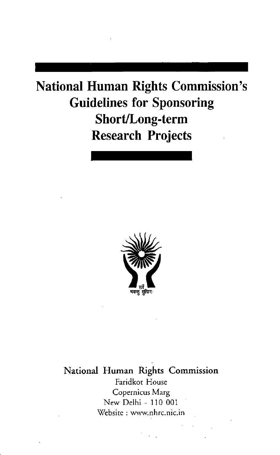# **National Human Rights Commission's Guidelines for Sponsoring** Short/Long-term **Research Projects**



National Human Rights Commission Faridkot House Copernicus Marg New Delhi - 110 001 Website: www.nhrc.nic.in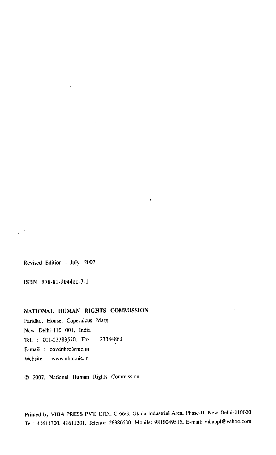Revised Edition : July. 2007

ISBN 978-81-994411-3-1

### NATIONAL HUMAN RIGHTS COMMISSION

Faridkot House. Copernicus Marg New Delhi-l10 00l. India Tel. : 011-23383570. Fax : 23384863 E-mail : covdnhrc@nic.in Website : www.nhrc.nic.in

((7 2007.National Human Rights Commission

Printed by VIBA PRESS PVT. LTD., C-66/3, Okhla Industrial Area. Phase-II. New Delhi-110020 TeI.:41611300.4I611301.Telefax:26386500.Mobile:98100495l5.E-mail:vibappl@yahoo.com

 $\epsilon$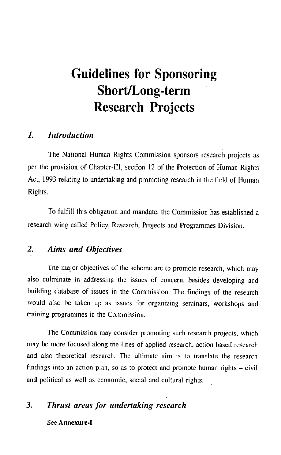# **Guidelines for Sponsoring** Short/Long-term **Research Projects**

#### $\mathbf{I}$ **Introduction**

The National Human Rights Commission sponsors research projects as per the provision of Chapter-III, section 12 of the Protection of Human Rights Act, 1993 relating to undertaking and promoting research in the field of Human Rights.

To fulfill this obligation and mandate, the Commission has established a research wing called Policy, Research, Projects and Programmes Division.

#### $2.$ **Aims and Objectives**

The major objectives of the scheme are to promote research, which may also culminate in addressing the issues of concern, besides developing and building database of issues in the Commission. The findings of the research would also be taken up as issues for organizing seminars, workshops and training programmes in the Commission.

The Commission may consider promoting such research projects, which may be more focused along the lines of applied research, action based research and also theoretical research. The ultimate aim is to translate the research findings into an action plan, so as to protect and promote human rights - civil and political as well as economic, social and cultural rights.

#### 3. Thrust areas for undertaking research

### See Annexure-I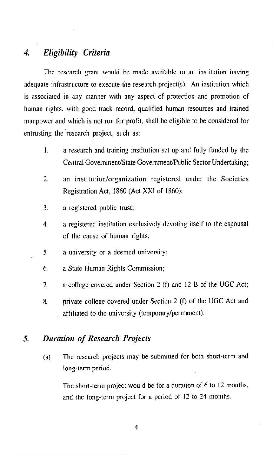### Eligibility Criteria  $\boldsymbol{4}$

The research grant would be made available to an institution having adequate infrastructure to execute the research project(s). An institution which is associated in any manner with any aspect of protection and promotion of human rights, with good track record, qualified human resources and trained manpower and which is not run for profit, shall be eligible to be considered for entrusting the research project, such as:

- $\mathbf{L}$ a research and training institution set up and fully funded by the Central Government/State Government/Public Sector Undertaking;
- $\overline{2}$ an institution/organization registered under the Societies Registration Act, 1860 (Act XXI of 1860);
- $\overline{3}$ . a registered public trust;
- a registered institution exclusively devoting itself to the espousal  $\overline{4}$ of the cause of human rights;
- $5.$ a university or a deemed university;
- a State Human Rights Commission; 6.
- $7<sub>1</sub>$ a college covered under Section 2 (f) and 12 B of the UGC Act;
- private college covered under Section 2 (f) of the UGC Act and 8. affiliated to the university (temporary/permanent).

#### **Duration of Research Projects**  $\mathcal{F}$

The research projects may be submitted for both short-term and  $(a)$ long-term period.

The short-term project would be for a duration of 6 to 12 months, and the long-term project for a period of 12 to 24 months.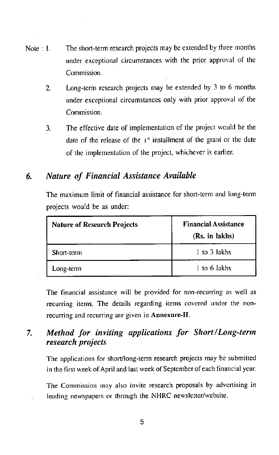- The short-term research projects may be extended by three months Note 1 under exceptional circumstances with the prior approval of the Commission.
	- Long-term research projects may be extended by 3 to 6 months  $\overline{2}$ under exceptional circumstances only with prior approval of the Commission.
	- The effective date of implementation of the project would be the  $\mathbf{3}$ date of the release of the  $1<sup>st</sup>$  installment of the grant or the date of the implementation of the project, whichever is earlier.

#### 6. Nature of Financial Assistance Available

The maximum limit of financial assistance for short-term and long-term projects would be as under:

| <b>Nature of Research Projects</b> | <b>Financial Assistance</b><br>(Rs. in lakhs) |  |
|------------------------------------|-----------------------------------------------|--|
| Short-term                         | 1 to 3 lakhs                                  |  |
| Long-term                          | 1 to 6 lakhs                                  |  |

The financial assistance will be provided for non-recurring as well as recurring items. The details regarding items covered under the nonrecurring and recurring are given in Annexure-II.

### Method for inviting applications for Short/Long-term  $7<sub>1</sub>$ research projects

The applications for short/long-term research projects may be submitted in the first week of April and last week of September of each financial year.

The Commission may also invite research proposals by advertising in leading newspapers or through the NHRC newsletter/website.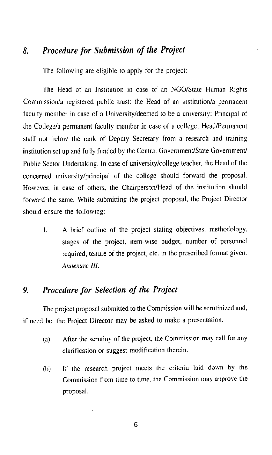### Procedure for Submission of the Project  $\mathbf{R}$ .

The following are eligible to apply for the project:

The Head of an Institution in case of an NGO/State Human Rights Commission/a registered public trust; the Head of an institution/a permanent faculty member in case of a University/deemed to be a university: Principal of the College/a permanent faculty member in case of a college: Head/Permanent staff not below the rank of Deputy Secretary from a research and training institution set up and fully funded by the Central Government/State Government/ Public Sector Undertaking. In case of university/college teacher, the Head of the concerned university/principal of the college should forward the proposal. However, in case of others, the Chairperson/Head of the institution should forward the same. While submitting the project proposal, the Project Director should ensure the following:

A brief outline of the project stating objectives, methodology,  $\mathbf{L}$ stages of the project, item-wise budget, number of personnel required, tenure of the project, etc. in the prescribed format given. Annexure-III.

### Procedure for Selection of the Project  $\mathbf{Q}$

The project proposal submitted to the Commission will be scrutinized and, if need be, the Project Director may be asked to make a presentation.

- After the scrutiny of the project, the Commission may call for any  $(a)$ clarification or suggest modification therein.
- If the research project meets the criteria laid down by the  $(b)$ Commission from time to time, the Commission may approve the proposal.

6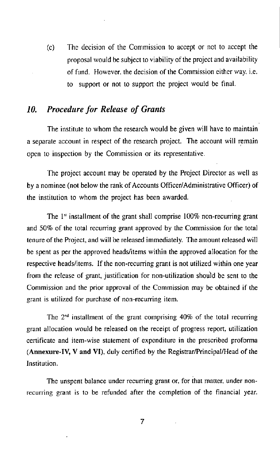The decision of the Commission to accept or not to accept the  $(c)$ proposal would be subject to viability of the project and availability of fund. However, the decision of the Commission either way, *i.e.* to support or not to support the project would be final.

#### **Procedure for Release of Grants** 10.

The institute to whom the research would be given will have to maintain a separate account in respect of the research project. The account will remain open to inspection by the Commission or its representative.

The project account may be operated by the Project Director as well as by a nominee (not below the rank of Accounts Officer/Administrative Officer) of the institution to whom the project has been awarded.

The  $1<sup>st</sup>$  installment of the grant shall comprise 100% non-recurring grant and 50% of the total recurring grant approved by the Commission for the total tenure of the Project, and will be released immediately. The amount released will be spent as per the approved heads/items within the approved allocation for the respective heads/items. If the non-recurring grant is not utilized within one year from the release of grant, justification for non-utilization should be sent to the Commission and the prior approval of the Commission may be obtained if the grant is utilized for purchase of non-recurring item.

The  $2<sup>nd</sup>$  installment of the grant comprising 40% of the total recurring grant allocation would be released on the receipt of progress report, utilization certificate and item-wise statement of expenditure in the prescribed proforma (Annexure-IV, V and VI), duly certified by the Registrar/Principal/Head of the Institution.

The unspent balance under recurring grant or, for that matter, under nonrecurring grant is to be refunded after the completion of the financial year.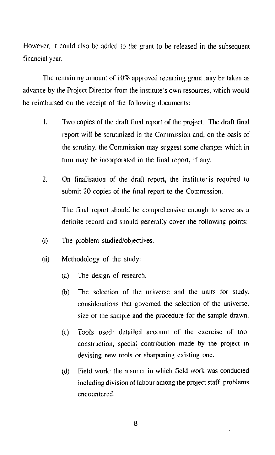However, it could also be added to the grant to be released in the subsequent financial year.

The remaining amount of 10% approved recurring grant may be taken as advance by the Project Director from the institute's own resources, which would be reimbursed on the receipt of the following documents:

- 1. Two copies of the draft final report of the project. The draft final report will be scrutinized in the Commission and, on the basis of the scrutiny, the Commission may suggest some changes which in turn may be incorporated in the final report, if any.
- $\overline{2}$ On finalisation of the draft report, the institute is required to submit 20 copies of the final report to the Commission.

The final report should be comprehensive enough to serve as a definite record and should generally cover the following points:

- $(i)$ The problem studied/objectives.
- Methodology of the study:  $(ii)$ 
	- The design of research.  $(a)$
	- $(b)$ The selection of the universe and the units for study, considerations that governed the selection of the universe, size of the sample and the procedure for the sample drawn.
	- Tools used: detailed account of the exercise of tool  $(c)$ construction, special contribution made by the project in devising new tools or sharpening existing one.
	- Field work: the manner in which field work was conducted  $(d)$ including division of labour among the project staff, problems encountered.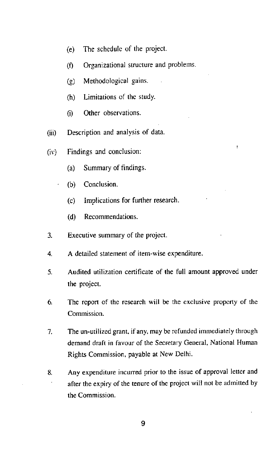- The schedule of the project.  $(e)$
- Organizational structure and problems.  $(f)$
- Methodological gains.  $\left( 2\right)$
- Limitations of the study.  $(h)$
- Other observations.  $(i)$
- Description and analysis of data.  $(iii)$
- Findings and conclusion:  $(iv)$ 
	- Summary of findings.  $(a)$
	- Conclusion.  $(b)$ 
		- Implications for further research.  $(c)$
		- Recommendations.  $(d)$
- $3<sub>l</sub>$ Executive summary of the project.
- A detailed statement of item-wise expenditure.  $\overline{4}$
- Audited utilization certificate of the full amount approved under  $5<sub>1</sub>$ the project.
- 6. The report of the research will be the exclusive property of the Commission.
- 7. The un-utilized grant, if any, may be refunded immediately through demand draft in favour of the Secretary General, National Human Rights Commission, payable at New Delhi.
- Any expenditure incurred prior to the issue of approval letter and 8. after the expiry of the tenure of the project will not be admitted by the Commission.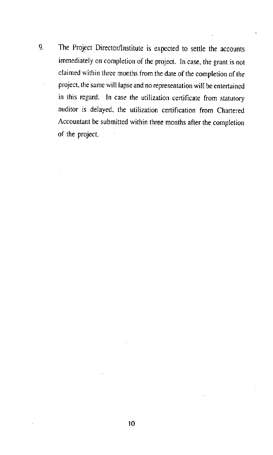9. The Project Director/Institute is expected to settle the accounts immediately on completion of the project. In case, the grant is not claimed within three months from the date of the completion of the project, the same will lapse and no representation will be entertained in this regard. In case the utilization certificate from statutory auditor is delayed, the utilization certification from Chartered Accountant be submitted within three months after the completion of the project.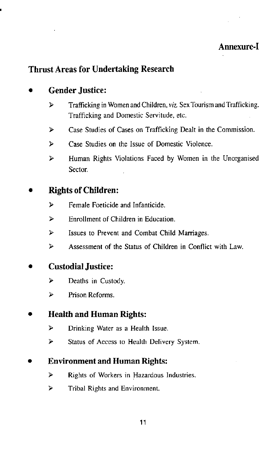# Annexure-I

# **Thrust Areas for Undertaking Research**

## **Gender Justice:**

- Trafficking in Women and Children, viz. Sex Tourism and Trafficking.  $\triangleright$ Trafficking and Domestic Servitude, etc.
- $\blacktriangleright$ Case Studies of Cases on Trafficking Dealt in the Commission.
- $\blacktriangleright$ Case Studies on the Issue of Domestic Violence.
- $\blacktriangleright$ Human Rights Violations Faced by Women in the Unorganised Sector.

## **Rights of Children:**

- $\blacktriangleright$ Female Foeticide and Infanticide.
- $\blacktriangleright$ Enrollment of Children in Education.
- $\blacktriangleright$ Issues to Prevent and Combat Child Marriages.
- $\geq$ Assessment of the Status of Children in Conflict with Law.

## **Custodial Justice:**

- $\blacktriangleright$ Deaths in Custody.
- Prison Reforms.  $\blacktriangleright$

## **Health and Human Rights:**

- $\blacktriangleright$ Drinking Water as a Health Issue.
- $\blacktriangleright$ Status of Access to Health Delivery System.

## **Environment and Human Rights:**

- ⋗ Rights of Workers in Hazardous Industries.
- $\blacktriangleright$ Tribal Rights and Environment.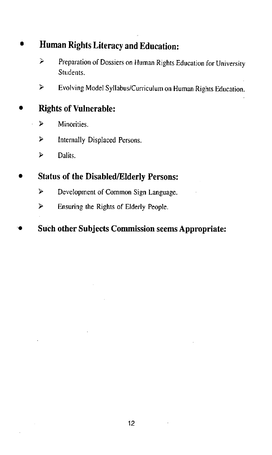# Human Rights Literacy and Education:

- <sup>></sup> Preparation of Dossiers on Human Rights Education for University Students.
- $\blacktriangleright$ Evolving Model Syllabus/Curriculum on Human Rights Education.

# **Rights of Vulnerable:**

- ⋗ Minorities.
- ⋗ Internally Displaced Persons.
- $\blacktriangleright$ Dalits.

# **Status of the Disabled/Elderly Persons:**

- Development of Common Sign Language.  $\triangleright$
- Ensuring the Rights of Elderly People.  $\blacktriangleright$

# **Such other Subjects Commission seems Appropriate:**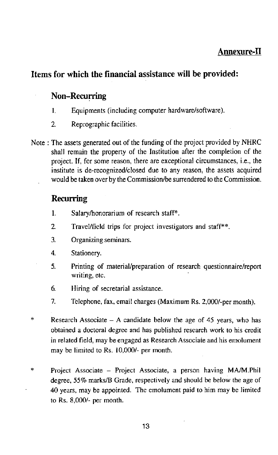# **Annexure-II**

# Items for which the financial assistance will be provided:

## **Non-Recurring**

- $\mathbf{1}$ Equipments (including computer hardware/software).
- $\overline{2}$ Reprographic facilities.
- Note: The assets generated out of the funding of the project provided by NHRC shall remain the property of the Institution after the completion of the project. If, for some reason, there are exceptional circumstances, i.e., the institute is de-recognized/closed due to any reason, the assets acquired would be taken over by the Commission/be surrendered to the Commission.

## **Recurring**

- $\mathbf{1}$ . Salary/honorarium of research staff\*.
- $\overline{2}$ Travel/field trips for project investigators and staff\*\*.
- $\mathbf{3}$ Organizing seminars.
- $\overline{4}$ Stationery.
- 5. Printing of material/preparation of research questionnaire/report writing, etc.
- 6. Hiring of secretarial assistance.
- $7.$ Telephone, fax, email charges (Maximum Rs. 2,000/-per month).
- Research Associate  $-$  A candidate below the age of 45 years, who has obtained a doctoral degree and has published research work to his credit in related field, may be engaged as Research Associate and his emolument may be limited to Rs. 10,000/- per month.
- $\ast$ Project Associate – Project Associate, a person having MA/M.Phil degree, 55% marks/B Grade, respectively and should be below the age of 40 years, may be appointed. The emolument paid to him may be limited to Rs. 8,000/- per month.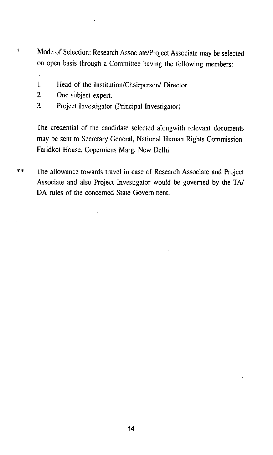- $\mathcal{L}$ Mode of Selection: Research Associate/Project Associate may be selected on open basis through a Committee having the following members:
	- $\mathbf{L}$ Head of the Institution/Chairperson/ Director
	- $\overline{2}$ One subject expert.
	- $\overline{3}$ . Project Investigator (Principal Investigator)

The credential of the candidate selected alongwith relevant documents may be sent to Secretary General, National Human Rights Commission, Faridkot House, Copernicus Marg, New Delhi.

 $*$ The allowance towards travel in case of Research Associate and Project Associate and also Project Investigator would be governed by the TA/ DA rules of the concerned State Government.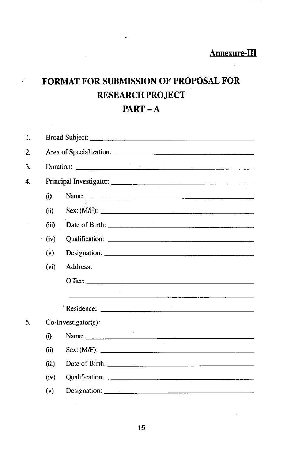# FORMAT FOR SUBMISSION OF PROPOSAL FOR RESEARCH PROJECT  $PART - A$

 $\sim 10^{-10}$ 

| $\mathbf{I}$   |                   |                                                                                                                                                                                                                                                                                                                                                                                                                       |  |  |  |  |  |
|----------------|-------------------|-----------------------------------------------------------------------------------------------------------------------------------------------------------------------------------------------------------------------------------------------------------------------------------------------------------------------------------------------------------------------------------------------------------------------|--|--|--|--|--|
| $\overline{2}$ |                   |                                                                                                                                                                                                                                                                                                                                                                                                                       |  |  |  |  |  |
| 3.             |                   | Duration: $\frac{1}{\sqrt{1-\frac{1}{2}}\sqrt{1-\frac{1}{2}}\sqrt{1-\frac{1}{2}}\sqrt{1-\frac{1}{2}}\sqrt{1-\frac{1}{2}}\sqrt{1-\frac{1}{2}}\sqrt{1-\frac{1}{2}}\sqrt{1-\frac{1}{2}}\sqrt{1-\frac{1}{2}}\sqrt{1-\frac{1}{2}}\sqrt{1-\frac{1}{2}}\sqrt{1-\frac{1}{2}}\sqrt{1-\frac{1}{2}}\sqrt{1-\frac{1}{2}}\sqrt{1-\frac{1}{2}}\sqrt{1-\frac{1}{2}}\sqrt{1-\frac{1}{2}}\sqrt{1-\frac{1}{2}}\sqrt{1-\frac{$           |  |  |  |  |  |
| 4.             |                   |                                                                                                                                                                                                                                                                                                                                                                                                                       |  |  |  |  |  |
|                | (i)               |                                                                                                                                                                                                                                                                                                                                                                                                                       |  |  |  |  |  |
|                | $\bf (ii)$        |                                                                                                                                                                                                                                                                                                                                                                                                                       |  |  |  |  |  |
|                | (iii)             |                                                                                                                                                                                                                                                                                                                                                                                                                       |  |  |  |  |  |
|                | (iv)              |                                                                                                                                                                                                                                                                                                                                                                                                                       |  |  |  |  |  |
|                | (v)               |                                                                                                                                                                                                                                                                                                                                                                                                                       |  |  |  |  |  |
|                | (v <sub>i</sub> ) | Address:                                                                                                                                                                                                                                                                                                                                                                                                              |  |  |  |  |  |
|                |                   | Office: $\frac{1}{\sqrt{1-\frac{1}{2}}\sqrt{1-\frac{1}{2}}\sqrt{1-\frac{1}{2}}\sqrt{1-\frac{1}{2}}\sqrt{1-\frac{1}{2}}\sqrt{1-\frac{1}{2}}\sqrt{1-\frac{1}{2}}\sqrt{1-\frac{1}{2}}\sqrt{1-\frac{1}{2}}\sqrt{1-\frac{1}{2}}\sqrt{1-\frac{1}{2}}\sqrt{1-\frac{1}{2}}\sqrt{1-\frac{1}{2}}\sqrt{1-\frac{1}{2}}\sqrt{1-\frac{1}{2}}\sqrt{1-\frac{1}{2}}\sqrt{1-\frac{1}{2}}\sqrt{1-\frac{1}{2}}\sqrt{1-\frac{1}{$          |  |  |  |  |  |
|                |                   | <u> 1980 - Jan Barton, Amerikaansk politiker (</u> † 1908)                                                                                                                                                                                                                                                                                                                                                            |  |  |  |  |  |
| 5.             |                   | Co-Investigator(s):                                                                                                                                                                                                                                                                                                                                                                                                   |  |  |  |  |  |
|                | (i)               |                                                                                                                                                                                                                                                                                                                                                                                                                       |  |  |  |  |  |
|                | (ii)              |                                                                                                                                                                                                                                                                                                                                                                                                                       |  |  |  |  |  |
|                | (iii)             |                                                                                                                                                                                                                                                                                                                                                                                                                       |  |  |  |  |  |
|                | (iv)              |                                                                                                                                                                                                                                                                                                                                                                                                                       |  |  |  |  |  |
|                | (v)               | Designation: $\frac{1}{\sqrt{1-\frac{1}{\sqrt{1-\frac{1}{\sqrt{1-\frac{1}{\sqrt{1-\frac{1}{\sqrt{1-\frac{1}{\sqrt{1-\frac{1}{\sqrt{1-\frac{1}{\sqrt{1-\frac{1}{\sqrt{1-\frac{1}{\sqrt{1-\frac{1}{\sqrt{1-\frac{1}{\sqrt{1-\frac{1}{\sqrt{1-\frac{1}{\sqrt{1-\frac{1}{\sqrt{1-\frac{1}{\sqrt{1-\frac{1}{\sqrt{1-\frac{1}{\sqrt{1-\frac{1}{\sqrt{1-\frac{1}{\sqrt{1-\frac{1}{\sqrt{1-\frac{1}{\sqrt{1-\frac{1}{\sqrt{1$ |  |  |  |  |  |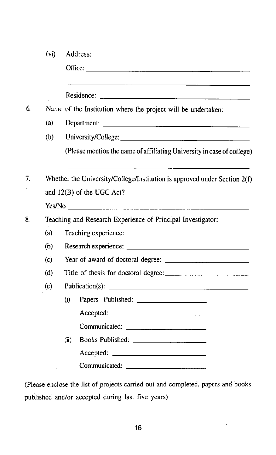|    | (v <sub>i</sub> ) | Address:                                                                                                                                                                                                                       |  |  |  |  |
|----|-------------------|--------------------------------------------------------------------------------------------------------------------------------------------------------------------------------------------------------------------------------|--|--|--|--|
|    |                   | Office: the contract of the contract of the contract of the contract of the contract of the contract of the contract of the contract of the contract of the contract of the contract of the contract of the contract of the co |  |  |  |  |
|    |                   |                                                                                                                                                                                                                                |  |  |  |  |
| 6. |                   | Name of the Institution where the project will be undertaken:                                                                                                                                                                  |  |  |  |  |
|    | (a)               |                                                                                                                                                                                                                                |  |  |  |  |
|    | (b)               |                                                                                                                                                                                                                                |  |  |  |  |
|    |                   | (Please mention the name of affiliating University in case of college)                                                                                                                                                         |  |  |  |  |
| 7. |                   | Whether the University/College/Institution is approved under Section $2(f)$                                                                                                                                                    |  |  |  |  |
|    |                   | and 12(B) of the UGC Act?                                                                                                                                                                                                      |  |  |  |  |
|    |                   |                                                                                                                                                                                                                                |  |  |  |  |
| 8. |                   | Teaching and Research Experience of Principal Investigator:                                                                                                                                                                    |  |  |  |  |
|    | (a)               |                                                                                                                                                                                                                                |  |  |  |  |
|    | (b)               |                                                                                                                                                                                                                                |  |  |  |  |
|    | (c)               |                                                                                                                                                                                                                                |  |  |  |  |
|    | (d)               |                                                                                                                                                                                                                                |  |  |  |  |
|    | (e)               |                                                                                                                                                                                                                                |  |  |  |  |
|    |                   | $\bf(i)$                                                                                                                                                                                                                       |  |  |  |  |
|    |                   | Accepted:                                                                                                                                                                                                                      |  |  |  |  |
|    |                   |                                                                                                                                                                                                                                |  |  |  |  |
|    |                   | (ii)                                                                                                                                                                                                                           |  |  |  |  |
|    |                   |                                                                                                                                                                                                                                |  |  |  |  |
|    |                   | Communicated:                                                                                                                                                                                                                  |  |  |  |  |

 $\bar{z}$ 

 $\hat{\boldsymbol{\beta}}$ 

(Please enclose the list of projects carried out and completed, papers and books published and/or accepted during last five years)

 $\hat{\mathcal{A}}$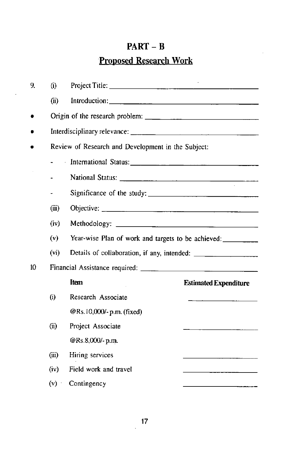# $PART - B$

# **Proposed Research Work**

l,

| 9. | (i)               |                                                                                                                                                                                                                               |                                                    |  |  |  |  |
|----|-------------------|-------------------------------------------------------------------------------------------------------------------------------------------------------------------------------------------------------------------------------|----------------------------------------------------|--|--|--|--|
|    | (ii)              |                                                                                                                                                                                                                               |                                                    |  |  |  |  |
|    |                   |                                                                                                                                                                                                                               |                                                    |  |  |  |  |
|    |                   |                                                                                                                                                                                                                               |                                                    |  |  |  |  |
|    |                   | Review of Research and Development in the Subject:                                                                                                                                                                            |                                                    |  |  |  |  |
|    |                   | International Status: 1998. [19] The Line of the Line of the Line of the Line of the Line of the Line of the Line of the Line of the Line of the Line of the Line of the Line of the Line of the Line of the Line of the Line |                                                    |  |  |  |  |
|    |                   |                                                                                                                                                                                                                               |                                                    |  |  |  |  |
|    |                   |                                                                                                                                                                                                                               | Significance of the study:                         |  |  |  |  |
|    | (iii)             |                                                                                                                                                                                                                               |                                                    |  |  |  |  |
|    | (iv)              |                                                                                                                                                                                                                               |                                                    |  |  |  |  |
|    | (v)               |                                                                                                                                                                                                                               | Year-wise Plan of work and targets to be achieved: |  |  |  |  |
|    | (v <sub>i</sub> ) |                                                                                                                                                                                                                               |                                                    |  |  |  |  |
| 10 |                   |                                                                                                                                                                                                                               |                                                    |  |  |  |  |
|    |                   | Item                                                                                                                                                                                                                          | <b>Estimated Expenditure</b>                       |  |  |  |  |
|    | (i)               | Research Associate                                                                                                                                                                                                            |                                                    |  |  |  |  |
|    |                   | @Rs.10,000/-p.m. (fixed)                                                                                                                                                                                                      |                                                    |  |  |  |  |
|    | (ii)              | Project Associate                                                                                                                                                                                                             |                                                    |  |  |  |  |
|    |                   | @Rs.8,000/-p.m.                                                                                                                                                                                                               |                                                    |  |  |  |  |
|    | (iii)             | Hiring services                                                                                                                                                                                                               |                                                    |  |  |  |  |
|    | (iv)              | Field work and travel                                                                                                                                                                                                         |                                                    |  |  |  |  |
|    | (v)               | Contingency                                                                                                                                                                                                                   |                                                    |  |  |  |  |

 $\ddot{\phantom{a}}$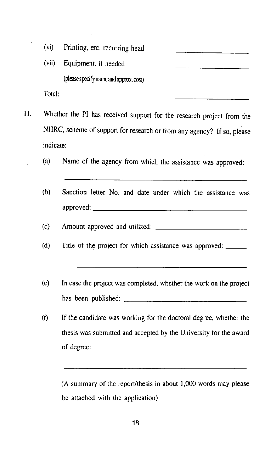| (vi) |  |  | Printing, etc. recurring head |  |
|------|--|--|-------------------------------|--|
|------|--|--|-------------------------------|--|

 $(vii)$ Equipment, if needed (please specify name and approx.cost) Total:

 $\mathbf{H}$ . Whether the PI has received support for the research project from the

NHRC, scheme of support for research or from any agency? If so, please indicate:

- $(a)$ Name of the agency from which the assistance was approved:
- $(b)$ Sanction letter No. and date under which the assistance was
- $(c)$
- $(d)$ Title of the project for which assistance was approved:
- $(e)$ In case the project was completed, whether the work on the project has been published:  $\frac{1}{\sqrt{1-\frac{1}{2}} \cdot \frac{1}{\sqrt{1-\frac{1}{2}} \cdot \frac{1}{\sqrt{1-\frac{1}{2}} \cdot \frac{1}{\sqrt{1-\frac{1}{2}} \cdot \frac{1}{\sqrt{1-\frac{1}{2}} \cdot \frac{1}{\sqrt{1-\frac{1}{2}} \cdot \frac{1}{\sqrt{1-\frac{1}{2}} \cdot \frac{1}{\sqrt{1-\frac{1}{2}} \cdot \frac{1}{\sqrt{1-\frac{1}{2}} \cdot \frac{1}{\sqrt{1-\frac{1}{2}} \cdot \frac{1}{\sqrt{1-\frac{1}{2}} \cdot \frac$
- If the candidate was working for the doctoral degree, whether the  $(f)$ thesis was submitted and accepted by the University for the award of degree:

(A summary of the report/thesis in about 1,000 words may please be attached with the application)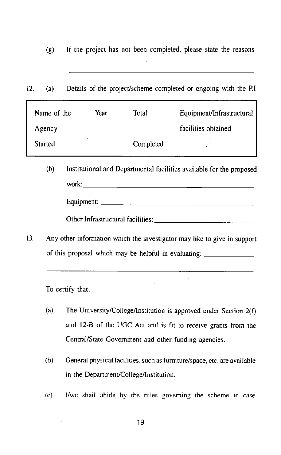$\left( \mathbf{g} \right)$ If the project has not been completed, please state the reasons

Details of the project/scheme completed or ongoing with the P.I  $12.$  $(a)$ 

| Name of the | Year | Total     | Equipment/Infrastructural |
|-------------|------|-----------|---------------------------|
| Agency      |      |           | facilities obtained       |
| Started     |      | Completed | $\bullet$                 |

- $(b)$ Institutional and Departmental facilities available for the proposed
	-

Other Infrastructural facilities:

Any other information which the investigator may like to give in support  $13<sup>2</sup>$ of this proposal which may be helpful in evaluating:

To certify that:

- $(a)$ The University/College/Institution is approved under Section 2(f) and 12-B of the UGC Act and is fit to receive grants from the Central/State Government and other funding agencies.
- General physical facilities, such as furniture/space, etc. are available  $(b)$ in the Department/College/Institution.
- $(c)$ I/we shall abide by the rules governing the scheme in case

19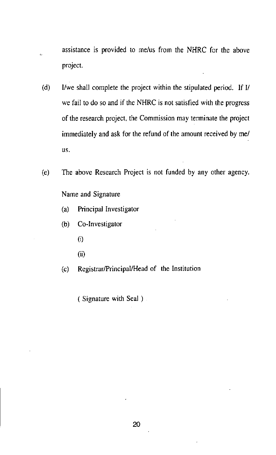- assistance is provided to me/us from the NHRC for the above project.
- I/we shall complete the project within the stipulated period. If I/  $(d)$ we fail to do so and if the NHRC is not satisfied with the progress of the research project, the Commission may terminate the project immediately and ask for the refund of the amount received by me/ us.
- The above Research Project is not funded by any other agency.  $(e)$

Name and Signature

- Principal Investigator  $(a)$
- Co-Investigator  $(b)$ 
	- $(i)$
	- $(ii)$
- Registrar/Principal/Head of the Institution  $(c)$

(Signature with Seal).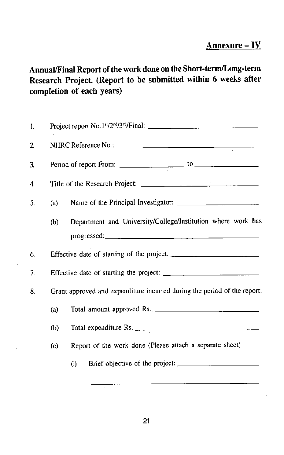# Annexure-IV

# Annual/Final Report of the work done on the Short-term/Long-term Research Project. (Report to be submitted within 6 weeks after completion of each years)

| 1. |     |                                                                          |  |  |  |  |
|----|-----|--------------------------------------------------------------------------|--|--|--|--|
| 2. |     |                                                                          |  |  |  |  |
| 3. |     |                                                                          |  |  |  |  |
| 4. |     |                                                                          |  |  |  |  |
| 5. | (a) |                                                                          |  |  |  |  |
|    | (b) | Department and University/College/Institution where work has             |  |  |  |  |
| 6. |     |                                                                          |  |  |  |  |
| 7. |     |                                                                          |  |  |  |  |
| 8. |     | Grant approved and expenditure incurred during the period of the report: |  |  |  |  |
|    | (a) | Total amount approved Rs.                                                |  |  |  |  |
|    | (b) | Total expenditure Rs.                                                    |  |  |  |  |
|    | (c) | Report of the work done (Please attach a separate sheet)                 |  |  |  |  |
|    |     | (i)                                                                      |  |  |  |  |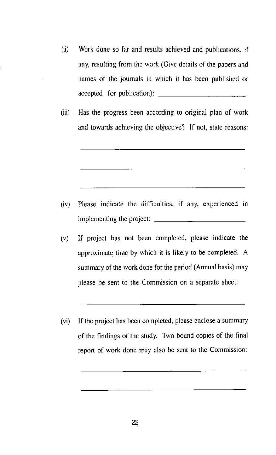- (ii) Work done so far and results achieved and publications, if any, resulting from the work (Give details of the papers and names of the journals in which it has been published or accepted for publication):
- (iii) Has the progress been according to original plan of work and towards achieving the objective? If not, state reasons:

- Please indicate the difficulties, if any, experienced in  $(iv)$ implementing the project:  $\frac{\ }{\ }$
- If project has not been completed, please indicate the  $(v)$ approximate time by which it is likely to be completed. A summary of the work done for the period (Annual basis) may please be sent to the Commission on a separate sheet:
- (vi) If the project has been completed, please enclose a summary of the findings of the study. Two bound copies of the final report of work done may also be sent to the Commission: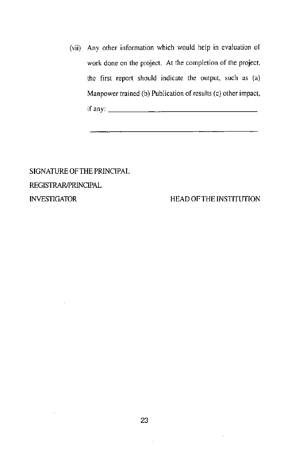(vii) Any other information which would help in evaluation of work done on the project. At the completion of the project, the first report should indicate the output, such as (a) Manpower trained (b) Publication of results (c) other impact, if any:  $\qquad \qquad \qquad$ 

SIGNATURE OF THE PRINCIPAL **REGISTRAR/PRINCIPAL INVESTIGATOR** 

HEAD OF THE INSTITUTION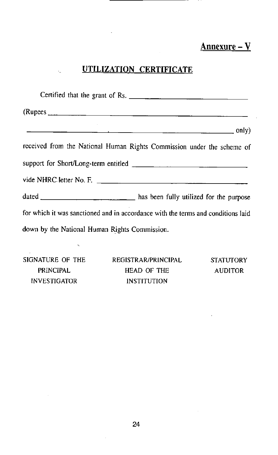# Annexure - V

# UTILIZATION CERTIFICATE

| Certified that the grant of Rs.                                                  |
|----------------------------------------------------------------------------------|
|                                                                                  |
|                                                                                  |
| received from the National Human Rights Commission under the scheme of           |
|                                                                                  |
|                                                                                  |
|                                                                                  |
| for which it was sanctioned and in accordance with the terms and conditions laid |
| down by the National Human Rights Commission.                                    |
|                                                                                  |

SIGNATURE OF THE PRINCIPAL INVESTIGATOR

l.

REGISTRAR/PRINCIPAL HEAD OF THE INSTITUTION

STATUTORY AUDITOR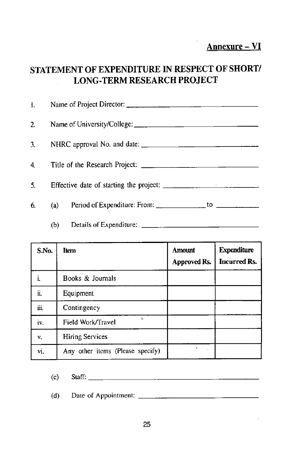Annexure - VI

# STATEMENT OF EXPENDITURE IN RESPECT OF SHORT/ **LONG-TERM RESEARCH PROJECT**

|    |     | 1. Name of Project Director: $\frac{1}{2}$                                                              |
|----|-----|---------------------------------------------------------------------------------------------------------|
|    |     |                                                                                                         |
|    |     |                                                                                                         |
|    |     |                                                                                                         |
| 5. |     |                                                                                                         |
| 6. |     | (a) Period of Expenditure: From: $\frac{1}{\sqrt{1-\frac{1}{2}}}\$ to $\frac{1}{\sqrt{1-\frac{1}{2}}}\$ |
|    | (b) |                                                                                                         |

| S.No. | <b>Item</b>                      | <b>Amount</b><br>Approved Rs. | <b>Expenditure</b><br><b>Incurred Rs.</b> |
|-------|----------------------------------|-------------------------------|-------------------------------------------|
|       | Books & Journals                 |                               |                                           |
| ii.   | Equipment                        |                               |                                           |
| iii.  | Contingency                      |                               |                                           |
| iv.   | Field Work/Travel                |                               |                                           |
| ٧.    | <b>Hiring Services</b>           |                               |                                           |
| vi.   | Any other items (Please specify) |                               |                                           |

| (c) | $\mathcal{F}$ and $\mathcal{F}$ and $\mathcal{F}$<br>Nan |  |  | ---- |  |
|-----|----------------------------------------------------------|--|--|------|--|
|     |                                                          |  |  |      |  |

| (d)<br>Date of Appointment:<br>$- - - -$ |  |
|------------------------------------------|--|
|------------------------------------------|--|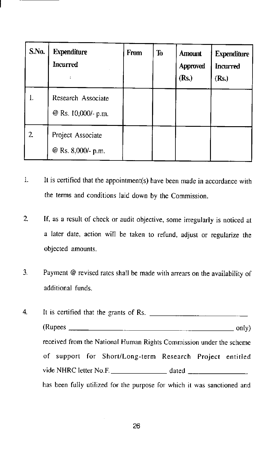| S.No. | <b>Expenditure</b><br><b>Incurred</b>     | From | T <sub>0</sub> | <b>Amount</b><br>Approved<br>(Rs.) | <b>Expenditure</b><br><b>Incurred</b><br>(Rs.) |
|-------|-------------------------------------------|------|----------------|------------------------------------|------------------------------------------------|
| l.    | Research Associate<br>@ Rs. 10,000/- p.m. |      |                |                                    |                                                |
| 2.    | Project Associate<br>@ Rs. 8,000/- p.m.   |      |                |                                    |                                                |

- $\overline{1}$ . It is certified that the appointment(s) have been made in accordance with the terms and conditions laid down by the Commission.
- $\overline{2}$ If, as a result of check or audit objective, some irregularly is noticed at a later date, action will be taken to refund, adjust or regularize the objected amounts.
- Payment @ revised rates shall be made with arrears on the availability of  $\overline{3}$ . additional funds.

It is certified that the grants of Rs. 4.  $(Rupees \_$  only) received from the National Human Rights Commission under the scheme of support for Short/Long-term Research Project entitled vide NHRC letter No.F. \_\_\_\_\_\_\_\_\_\_\_\_\_\_\_\_\_\_\_\_\_\_\_\_\_ dated  $\frac{1}{2}$ has been fully utilized for the purpose for which it was sanctioned and